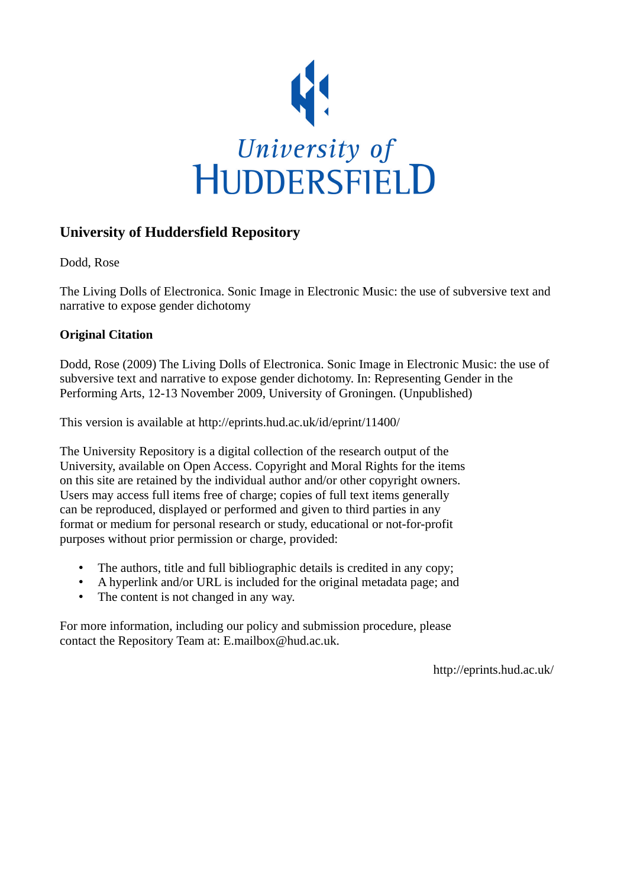

## **University of Huddersfield Repository**

Dodd, Rose

The Living Dolls of Electronica. Sonic Image in Electronic Music: the use of subversive text and narrative to expose gender dichotomy

## **Original Citation**

Dodd, Rose (2009) The Living Dolls of Electronica. Sonic Image in Electronic Music: the use of subversive text and narrative to expose gender dichotomy. In: Representing Gender in the Performing Arts, 12-13 November 2009, University of Groningen. (Unpublished)

This version is available at http://eprints.hud.ac.uk/id/eprint/11400/

The University Repository is a digital collection of the research output of the University, available on Open Access. Copyright and Moral Rights for the items on this site are retained by the individual author and/or other copyright owners. Users may access full items free of charge; copies of full text items generally can be reproduced, displayed or performed and given to third parties in any format or medium for personal research or study, educational or not-for-profit purposes without prior permission or charge, provided:

- The authors, title and full bibliographic details is credited in any copy;
- A hyperlink and/or URL is included for the original metadata page; and
- The content is not changed in any way.

For more information, including our policy and submission procedure, please contact the Repository Team at: E.mailbox@hud.ac.uk.

http://eprints.hud.ac.uk/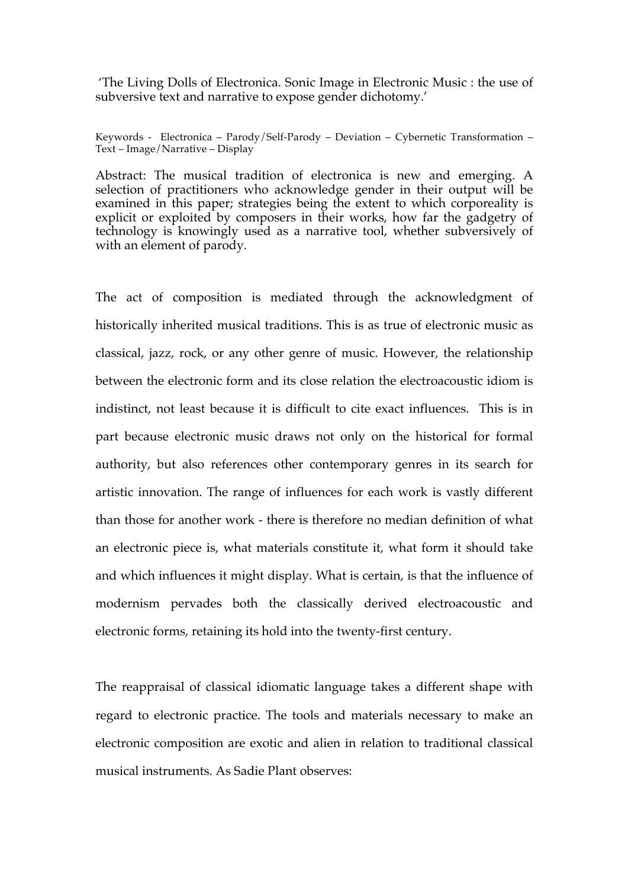'The Living Dolls of Electronica. Sonic Image in Electronic Music : the use of subversive text and narrative to expose gender dichotomy.'

Keywords - Electronica – Parody/Self-Parody – Deviation – Cybernetic Transformation – Text – Image/Narrative – Display

Abstract: The musical tradition of electronica is new and emerging. A selection of practitioners who acknowledge gender in their output will be examined in this paper; strategies being the extent to which corporeality is explicit or exploited by composers in their works, how far the gadgetry of technology is knowingly used as a narrative tool, whether subversively of with an element of parody.

The act of composition is mediated through the acknowledgment of historically inherited musical traditions. This is as true of electronic music as classical, jazz, rock, or any other genre of music. However, the relationship between the electronic form and its close relation the electroacoustic idiom is indistinct, not least because it is difficult to cite exact influences. This is in part because electronic music draws not only on the historical for formal authority, but also references other contemporary genres in its search for artistic innovation. The range of influences for each work is vastly different than those for another work - there is therefore no median definition of what an electronic piece is, what materials constitute it, what form it should take and which influences it might display. What is certain, is that the influence of modernism pervades both the classically derived electroacoustic and electronic forms, retaining its hold into the twenty-first century.

The reappraisal of classical idiomatic language takes a different shape with regard to electronic practice. The tools and materials necessary to make an electronic composition are exotic and alien in relation to traditional classical musical instruments. As Sadie Plant observes: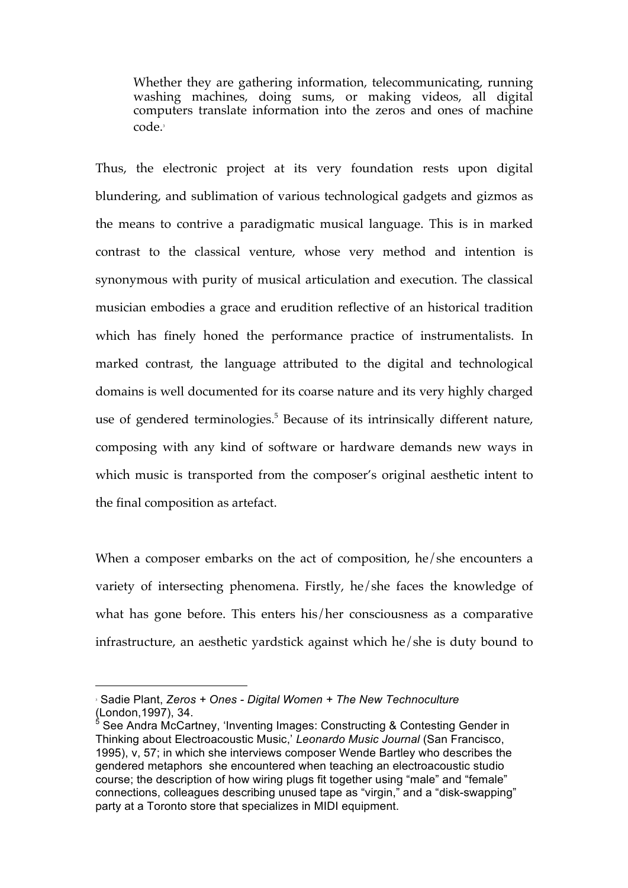Whether they are gathering information, telecommunicating, running washing machines, doing sums, or making videos, all digital computers translate information into the zeros and ones of machine code.<sup>3</sup>

Thus, the electronic project at its very foundation rests upon digital blundering, and sublimation of various technological gadgets and gizmos as the means to contrive a paradigmatic musical language. This is in marked contrast to the classical venture, whose very method and intention is synonymous with purity of musical articulation and execution. The classical musician embodies a grace and erudition reflective of an historical tradition which has finely honed the performance practice of instrumentalists. In marked contrast, the language attributed to the digital and technological domains is well documented for its coarse nature and its very highly charged use of gendered terminologies.<sup>5</sup> Because of its intrinsically different nature, composing with any kind of software or hardware demands new ways in which music is transported from the composer's original aesthetic intent to the final composition as artefact.

When a composer embarks on the act of composition, he/she encounters a variety of intersecting phenomena. Firstly, he/she faces the knowledge of what has gone before. This enters his/her consciousness as a comparative infrastructure, an aesthetic yardstick against which he/she is duty bound to

 $\overline{a}$ 

<sup>3</sup> Sadie Plant, *Zeros + Ones - Digital Women + The New Technoculture* (London,1997), 34.

<sup>&</sup>lt;sup>5</sup> See Andra McCartney, 'Inventing Images: Constructing & Contesting Gender in Thinking about Electroacoustic Music,' *Leonardo Music Journal* (San Francisco, 1995), v, 57; in which she interviews composer Wende Bartley who describes the gendered metaphors she encountered when teaching an electroacoustic studio course; the description of how wiring plugs fit together using "male" and "female" connections, colleagues describing unused tape as "virgin," and a "disk-swapping" party at a Toronto store that specializes in MIDI equipment.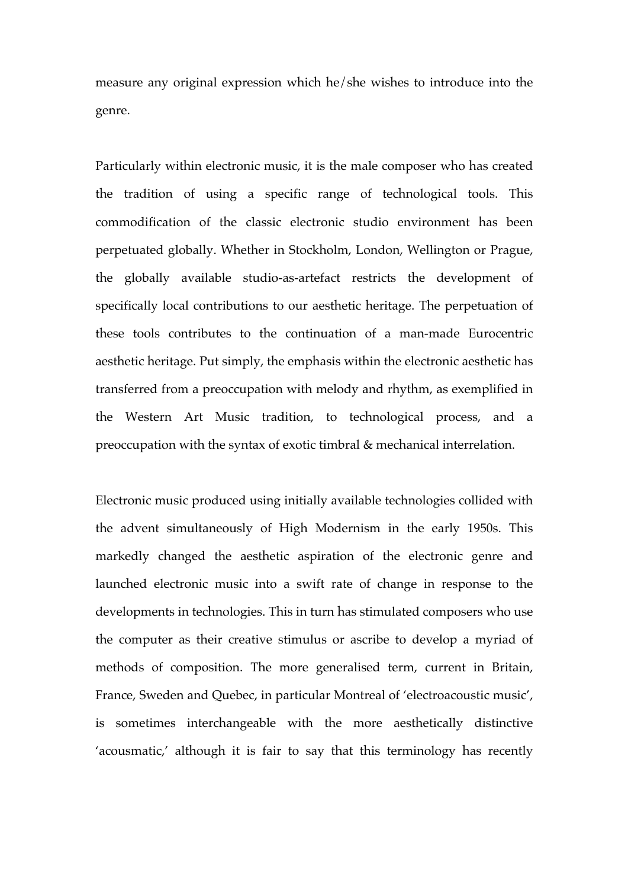measure any original expression which he/she wishes to introduce into the genre.

Particularly within electronic music, it is the male composer who has created the tradition of using a specific range of technological tools. This commodification of the classic electronic studio environment has been perpetuated globally. Whether in Stockholm, London, Wellington or Prague, the globally available studio-as-artefact restricts the development of specifically local contributions to our aesthetic heritage. The perpetuation of these tools contributes to the continuation of a man-made Eurocentric aesthetic heritage. Put simply, the emphasis within the electronic aesthetic has transferred from a preoccupation with melody and rhythm, as exemplified in the Western Art Music tradition, to technological process, and a preoccupation with the syntax of exotic timbral & mechanical interrelation.

Electronic music produced using initially available technologies collided with the advent simultaneously of High Modernism in the early 1950s. This markedly changed the aesthetic aspiration of the electronic genre and launched electronic music into a swift rate of change in response to the developments in technologies. This in turn has stimulated composers who use the computer as their creative stimulus or ascribe to develop a myriad of methods of composition. The more generalised term, current in Britain, France, Sweden and Quebec, in particular Montreal of 'electroacoustic music', is sometimes interchangeable with the more aesthetically distinctive 'acousmatic,' although it is fair to say that this terminology has recently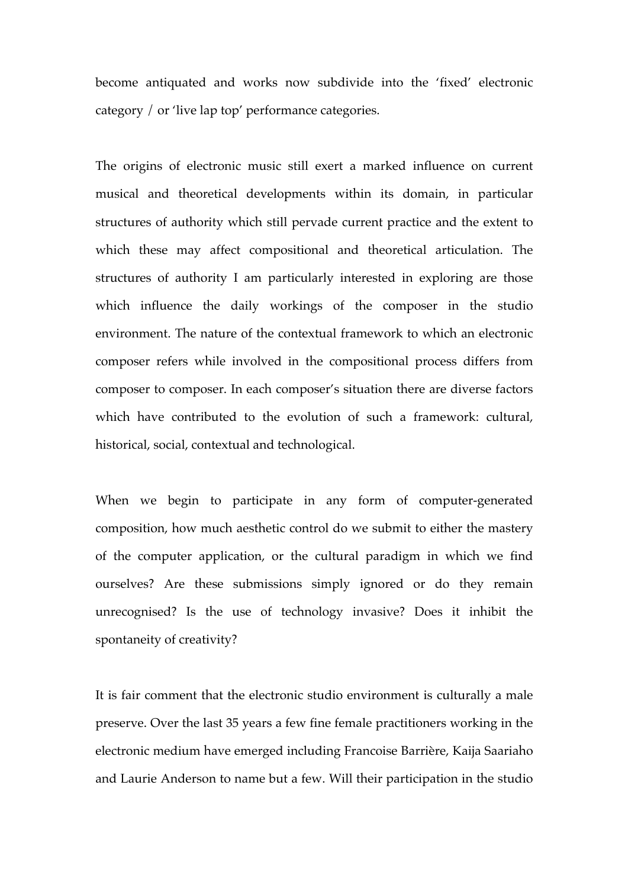become antiquated and works now subdivide into the 'fixed' electronic category / or 'live lap top' performance categories.

The origins of electronic music still exert a marked influence on current musical and theoretical developments within its domain, in particular structures of authority which still pervade current practice and the extent to which these may affect compositional and theoretical articulation. The structures of authority I am particularly interested in exploring are those which influence the daily workings of the composer in the studio environment. The nature of the contextual framework to which an electronic composer refers while involved in the compositional process differs from composer to composer. In each composer's situation there are diverse factors which have contributed to the evolution of such a framework: cultural, historical, social, contextual and technological.

When we begin to participate in any form of computer-generated composition, how much aesthetic control do we submit to either the mastery of the computer application, or the cultural paradigm in which we find ourselves? Are these submissions simply ignored or do they remain unrecognised? Is the use of technology invasive? Does it inhibit the spontaneity of creativity?

It is fair comment that the electronic studio environment is culturally a male preserve. Over the last 35 years a few fine female practitioners working in the electronic medium have emerged including Francoise Barrière, Kaija Saariaho and Laurie Anderson to name but a few. Will their participation in the studio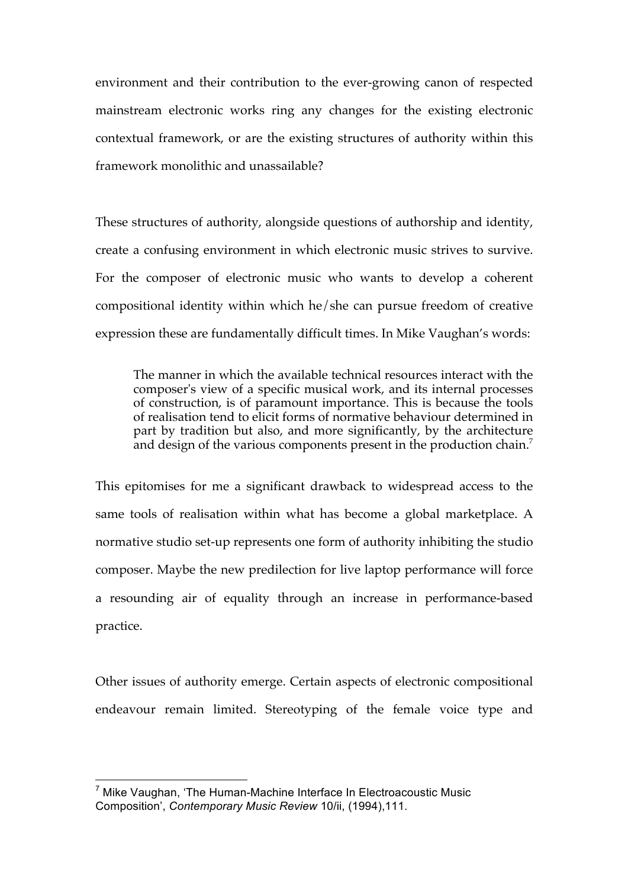environment and their contribution to the ever-growing canon of respected mainstream electronic works ring any changes for the existing electronic contextual framework, or are the existing structures of authority within this framework monolithic and unassailable?

These structures of authority, alongside questions of authorship and identity, create a confusing environment in which electronic music strives to survive. For the composer of electronic music who wants to develop a coherent compositional identity within which he/she can pursue freedom of creative expression these are fundamentally difficult times. In Mike Vaughan's words:

The manner in which the available technical resources interact with the composer's view of a specific musical work, and its internal processes of construction, is of paramount importance. This is because the tools of realisation tend to elicit forms of normative behaviour determined in part by tradition but also, and more significantly, by the architecture and design of the various components present in the production chain.<sup>7</sup>

This epitomises for me a significant drawback to widespread access to the same tools of realisation within what has become a global marketplace. A normative studio set-up represents one form of authority inhibiting the studio composer. Maybe the new predilection for live laptop performance will force a resounding air of equality through an increase in performance-based practice.

Other issues of authority emerge. Certain aspects of electronic compositional endeavour remain limited. Stereotyping of the female voice type and

 $7$  Mike Vaughan, 'The Human-Machine Interface In Electroacoustic Music Composition', *Contemporary Music Review* 10/ii, (1994),111.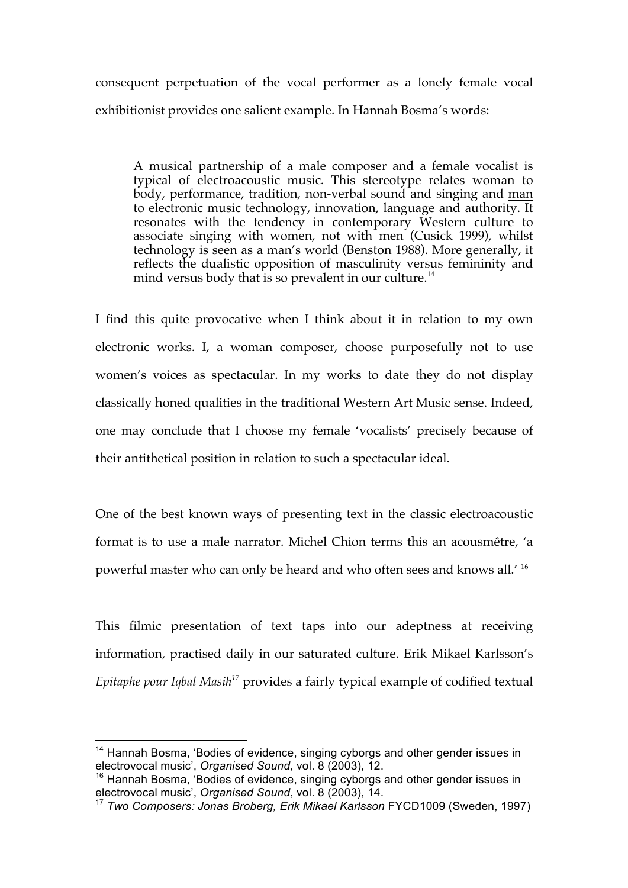consequent perpetuation of the vocal performer as a lonely female vocal exhibitionist provides one salient example. In Hannah Bosma's words:

A musical partnership of a male composer and a female vocalist is typical of electroacoustic music. This stereotype relates woman to body, performance, tradition, non-verbal sound and singing and man to electronic music technology, innovation, language and authority. It resonates with the tendency in contemporary Western culture to associate singing with women, not with men (Cusick 1999), whilst technology is seen as a man's world (Benston 1988). More generally, it reflects the dualistic opposition of masculinity versus femininity and mind versus body that is so prevalent in our culture.<sup>14</sup>

I find this quite provocative when I think about it in relation to my own electronic works. I, a woman composer, choose purposefully not to use women's voices as spectacular. In my works to date they do not display classically honed qualities in the traditional Western Art Music sense. Indeed, one may conclude that I choose my female 'vocalists' precisely because of their antithetical position in relation to such a spectacular ideal.

One of the best known ways of presenting text in the classic electroacoustic format is to use a male narrator. Michel Chion terms this an acousmêtre, 'a powerful master who can only be heard and who often sees and knows all.' <sup>16</sup>

This filmic presentation of text taps into our adeptness at receiving information, practised daily in our saturated culture. Erik Mikael Karlsson's *Epitaphe pour Iqbal Masih<sup>17</sup>* provides a fairly typical example of codified textual

<sup>&</sup>lt;sup>14</sup> Hannah Bosma, 'Bodies of evidence, singing cyborgs and other gender issues in electrovocal music', *Organised Sound*, vol. 8 (2003), 12.

<sup>&</sup>lt;sup>16</sup> Hannah Bosma, 'Bodies of evidence, singing cyborgs and other gender issues in electrovocal music', *Organised Sound*, vol. 8 (2003), 14.

<sup>17</sup> *Two Composers: Jonas Broberg, Erik Mikael Karlsson* FYCD1009 (Sweden, 1997)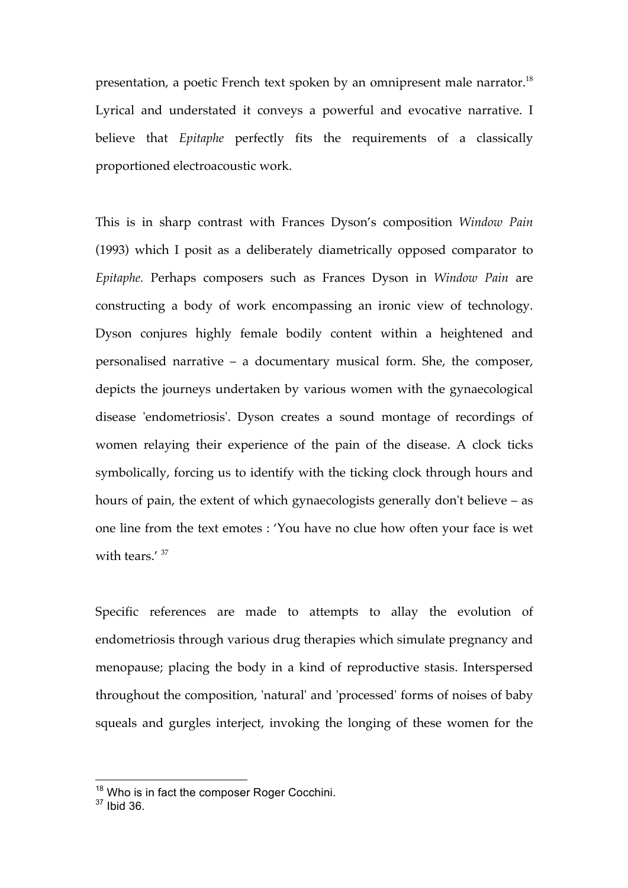presentation, a poetic French text spoken by an omnipresent male narrator.<sup>18</sup> Lyrical and understated it conveys a powerful and evocative narrative. I believe that *Epitaphe* perfectly fits the requirements of a classically proportioned electroacoustic work.

This is in sharp contrast with Frances Dyson's composition *Window Pain* (1993) which I posit as a deliberately diametrically opposed comparator to *Epitaphe.* Perhaps composers such as Frances Dyson in *Window Pain* are constructing a body of work encompassing an ironic view of technology. Dyson conjures highly female bodily content within a heightened and personalised narrative – a documentary musical form. She, the composer, depicts the journeys undertaken by various women with the gynaecological disease 'endometriosis'. Dyson creates a sound montage of recordings of women relaying their experience of the pain of the disease. A clock ticks symbolically, forcing us to identify with the ticking clock through hours and hours of pain, the extent of which gynaecologists generally don't believe – as one line from the text emotes : 'You have no clue how often your face is wet with tears.' <sup>37</sup>

Specific references are made to attempts to allay the evolution of endometriosis through various drug therapies which simulate pregnancy and menopause; placing the body in a kind of reproductive stasis. Interspersed throughout the composition, 'natural' and 'processed' forms of noises of baby squeals and gurgles interject, invoking the longing of these women for the

<sup>&</sup>lt;sup>18</sup> Who is in fact the composer Roger Cocchini.

<sup>37</sup> Ibid 36.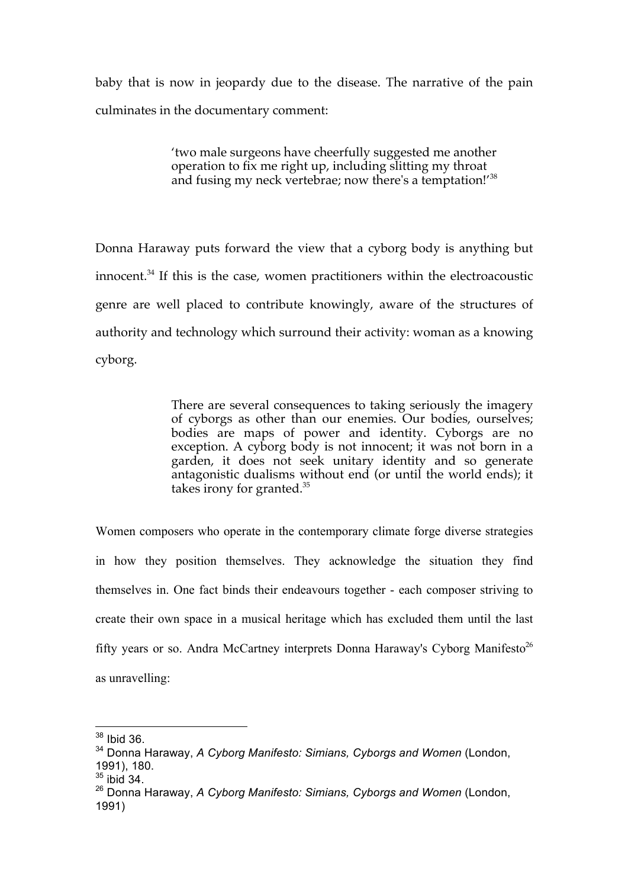baby that is now in jeopardy due to the disease. The narrative of the pain culminates in the documentary comment:

> 'two male surgeons have cheerfully suggested me another operation to fix me right up, including slitting my throat and fusing my neck vertebrae; now there's a temptation!'<sup>38</sup>

Donna Haraway puts forward the view that a cyborg body is anything but innocent.<sup>34</sup> If this is the case, women practitioners within the electroacoustic genre are well placed to contribute knowingly, aware of the structures of authority and technology which surround their activity: woman as a knowing cyborg.

> There are several consequences to taking seriously the imagery of cyborgs as other than our enemies. Our bodies, ourselves; bodies are maps of power and identity. Cyborgs are no exception. A cyborg body is not innocent; it was not born in a garden, it does not seek unitary identity and so generate antagonistic dualisms without end (or until the world ends); it takes irony for granted.<sup>35</sup>

Women composers who operate in the contemporary climate forge diverse strategies in how they position themselves. They acknowledge the situation they find themselves in. One fact binds their endeavours together - each composer striving to create their own space in a musical heritage which has excluded them until the last fifty years or so. Andra McCartney interprets Donna Haraway's Cyborg Manifesto<sup>26</sup> as unravelling:

<sup>38</sup> Ibid 36.

<sup>&</sup>lt;sup>34</sup> Donna Haraway, *A Cyborg Manifesto: Simians, Cyborgs and Women* (London, 1991), 180.

 $35$  ibid 34.

<sup>26</sup> Donna Haraway, *A Cyborg Manifesto: Simians, Cyborgs and Women* (London, 1991)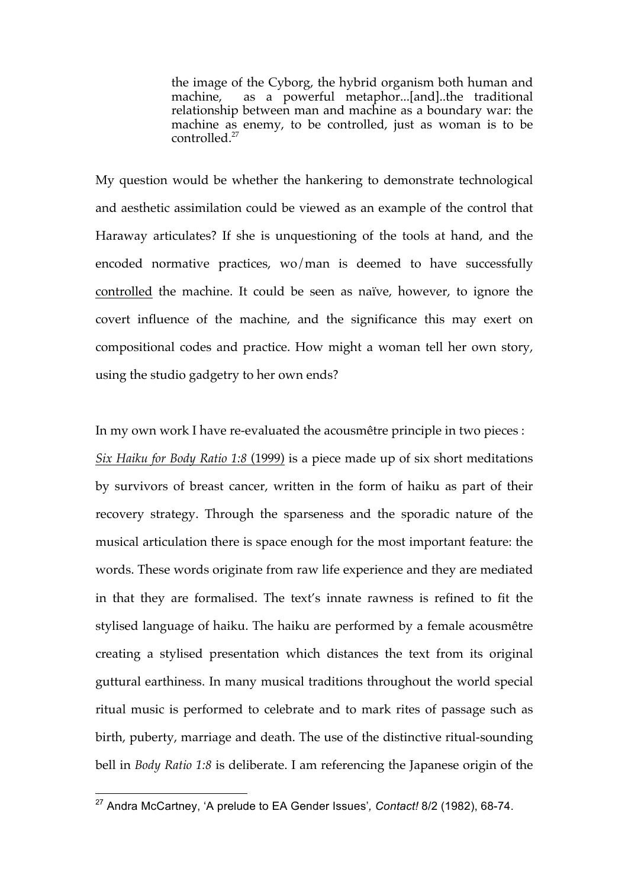the image of the Cyborg, the hybrid organism both human and machine, as a powerful metaphor...[and]..the traditional relationship between man and machine as a boundary war: the machine as enemy, to be controlled, just as woman is to be controlled.<sup>27</sup>

My question would be whether the hankering to demonstrate technological and aesthetic assimilation could be viewed as an example of the control that Haraway articulates? If she is unquestioning of the tools at hand, and the encoded normative practices, wo/man is deemed to have successfully controlled the machine. It could be seen as naïve, however, to ignore the covert influence of the machine, and the significance this may exert on compositional codes and practice. How might a woman tell her own story, using the studio gadgetry to her own ends?

In my own work I have re-evaluated the acousmêtre principle in two pieces : *Six Haiku for Body Ratio 1:8* (1999) is a piece made up of six short meditations by survivors of breast cancer, written in the form of haiku as part of their recovery strategy. Through the sparseness and the sporadic nature of the musical articulation there is space enough for the most important feature: the words. These words originate from raw life experience and they are mediated in that they are formalised. The text's innate rawness is refined to fit the stylised language of haiku. The haiku are performed by a female acousmêtre creating a stylised presentation which distances the text from its original guttural earthiness. In many musical traditions throughout the world special ritual music is performed to celebrate and to mark rites of passage such as birth, puberty, marriage and death. The use of the distinctive ritual-sounding bell in *Body Ratio 1:8* is deliberate. I am referencing the Japanese origin of the

<sup>27</sup> Andra McCartney, 'A prelude to EA Gender Issues'*, Contact!* 8/2 (1982), 68-74.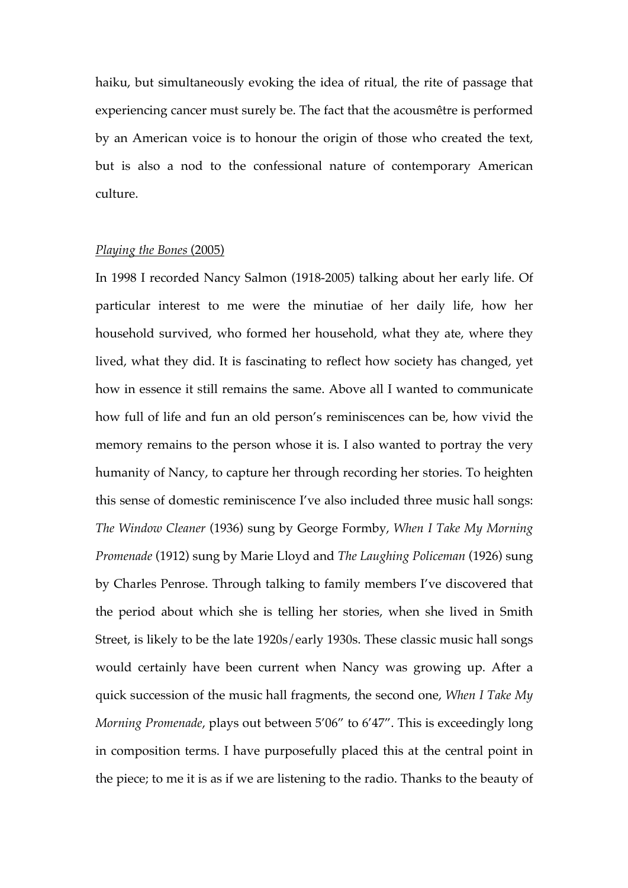haiku, but simultaneously evoking the idea of ritual, the rite of passage that experiencing cancer must surely be. The fact that the acousmêtre is performed by an American voice is to honour the origin of those who created the text, but is also a nod to the confessional nature of contemporary American culture.

## *Playing the Bones* (2005)

In 1998 I recorded Nancy Salmon (1918-2005) talking about her early life. Of particular interest to me were the minutiae of her daily life, how her household survived, who formed her household, what they ate, where they lived, what they did. It is fascinating to reflect how society has changed, yet how in essence it still remains the same. Above all I wanted to communicate how full of life and fun an old person's reminiscences can be, how vivid the memory remains to the person whose it is. I also wanted to portray the very humanity of Nancy, to capture her through recording her stories. To heighten this sense of domestic reminiscence I've also included three music hall songs: *The Window Cleaner* (1936) sung by George Formby, *When I Take My Morning Promenade* (1912) sung by Marie Lloyd and *The Laughing Policeman* (1926) sung by Charles Penrose. Through talking to family members I've discovered that the period about which she is telling her stories, when she lived in Smith Street, is likely to be the late 1920s/early 1930s. These classic music hall songs would certainly have been current when Nancy was growing up. After a quick succession of the music hall fragments, the second one, *When I Take My Morning Promenade*, plays out between 5'06" to 6'47". This is exceedingly long in composition terms. I have purposefully placed this at the central point in the piece; to me it is as if we are listening to the radio. Thanks to the beauty of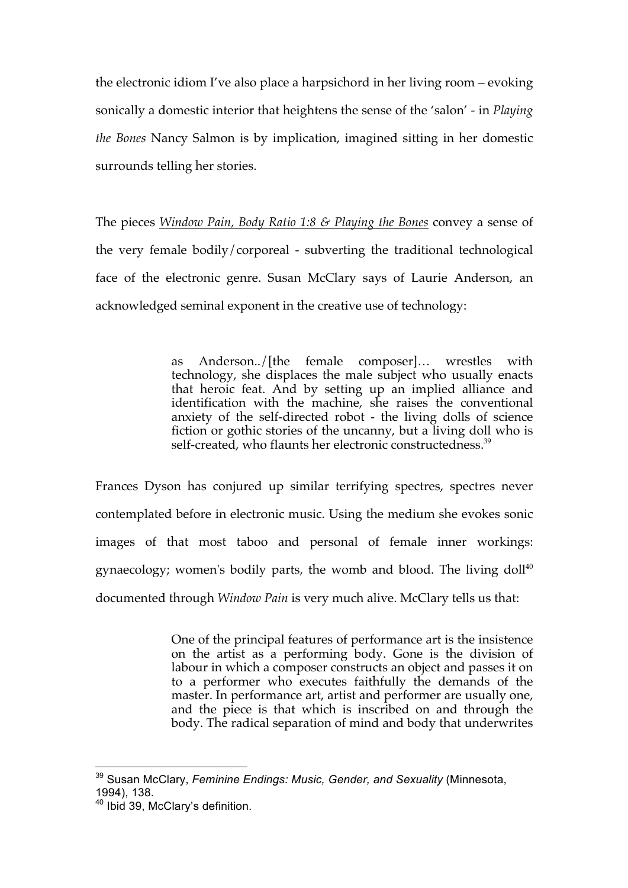the electronic idiom I've also place a harpsichord in her living room – evoking sonically a domestic interior that heightens the sense of the 'salon' - in *Playing the Bones* Nancy Salmon is by implication, imagined sitting in her domestic surrounds telling her stories.

The pieces *Window Pain, Body Ratio 1:8 & Playing the Bones* convey a sense of the very female bodily/corporeal - subverting the traditional technological face of the electronic genre. Susan McClary says of Laurie Anderson, an acknowledged seminal exponent in the creative use of technology:

> as Anderson../[the female composer]… wrestles with technology, she displaces the male subject who usually enacts that heroic feat. And by setting up an implied alliance and identification with the machine, she raises the conventional anxiety of the self-directed robot - the living dolls of science fiction or gothic stories of the uncanny, but a living doll who is self-created, who flaunts her electronic constructedness.<sup>39</sup>

Frances Dyson has conjured up similar terrifying spectres, spectres never contemplated before in electronic music. Using the medium she evokes sonic images of that most taboo and personal of female inner workings: gynaecology; women's bodily parts, the womb and blood. The living doll<sup>40</sup> documented through *Window Pain* is very much alive. McClary tells us that:

> One of the principal features of performance art is the insistence on the artist as a performing body. Gone is the division of labour in which a composer constructs an object and passes it on to a performer who executes faithfully the demands of the master. In performance art, artist and performer are usually one, and the piece is that which is inscribed on and through the body. The radical separation of mind and body that underwrites

<sup>39</sup> Susan McClary, *Feminine Endings: Music, Gender, and Sexuality* (Minnesota, 1994), 138.

<sup>40</sup> Ibid 39, McClary's definition.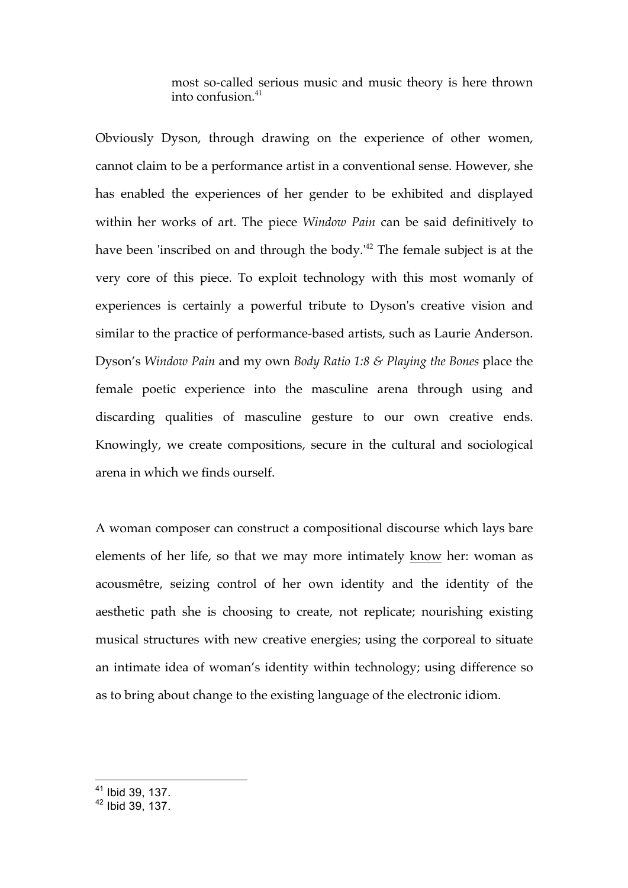most so-called serious music and music theory is here thrown into confusion.<sup>41</sup>

Obviously Dyson, through drawing on the experience of other women, cannot claim to be a performance artist in a conventional sense. However, she has enabled the experiences of her gender to be exhibited and displayed within her works of art. The piece *Window Pain* can be said definitively to have been 'inscribed on and through the body.<sup>42</sup> The female subject is at the very core of this piece. To exploit technology with this most womanly of experiences is certainly a powerful tribute to Dyson's creative vision and similar to the practice of performance-based artists, such as Laurie Anderson. Dyson's *Window Pain* and my own *Body Ratio 1:8 & Playing the Bones* place the female poetic experience into the masculine arena through using and discarding qualities of masculine gesture to our own creative ends. Knowingly, we create compositions, secure in the cultural and sociological arena in which we finds ourself.

A woman composer can construct a compositional discourse which lays bare elements of her life, so that we may more intimately know her: woman as acousmêtre, seizing control of her own identity and the identity of the aesthetic path she is choosing to create, not replicate; nourishing existing musical structures with new creative energies; using the corporeal to situate an intimate idea of woman's identity within technology; using difference so as to bring about change to the existing language of the electronic idiom.

 $\frac{41}{100}$  Ibid 39, 137.

<sup>42</sup> Ibid 39, 137.